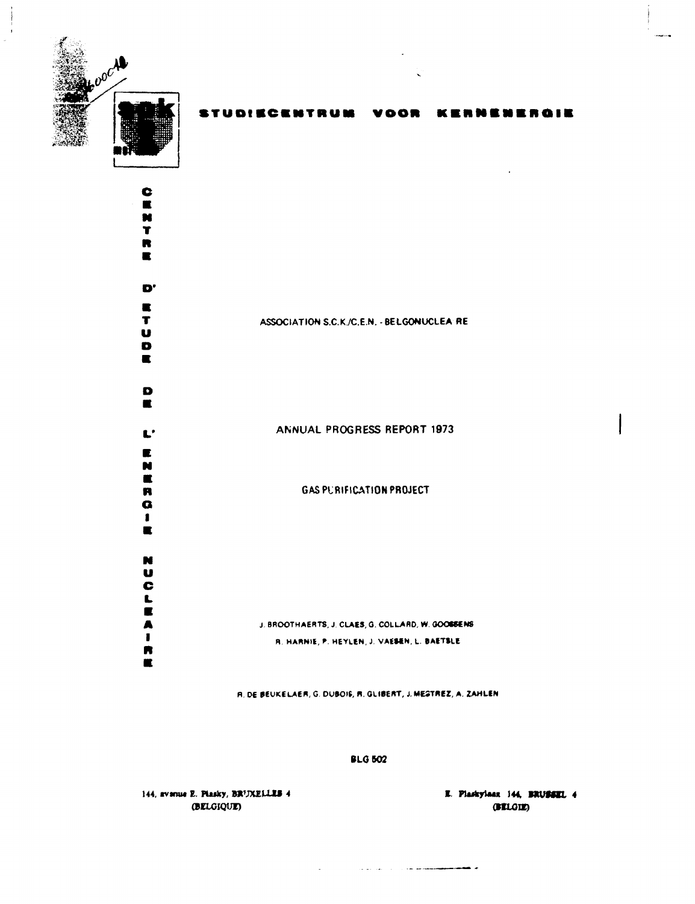

KERNENERGIE **STUDIECENTRUM** VOOR

Ć  $\blacksquare$ N  $\mathbf T$  $\blacksquare$  $\blacksquare$  $\mathbf{D}^*$  $\blacksquare$  $\mathbf T$ ASSOCIATION S.C.K./C.E.N. - BELGONUCLEA RE U  $\bullet$  $\blacksquare$  $\bullet$  $\blacksquare$ ANNUAL PROGRESS REPORT 1973  $\mathbf{L}^{\prime}$  $\blacksquare$ N  $\blacksquare$ **GAS PURIFICATION PROJECT**  $\blacksquare$  $\bullet$  $\blacksquare$  $\blacksquare$ N  $\mathbf u$  $\bar{\bullet}$ LEAT J. BROOTHAERTS, J. CLAES, G. COLLARD, W. GOOSSENS R. HARNIE, P. HEYLEN, J. VAESEN, L. BAETSLE R  $\blacksquare$ 

R. DE BEUKELAER, G. DUBOIS, R. GLIBERT, J. MESTREZ, A. ZAHLEN

**BLG 502** 

م <del>گذشت سیون دی</del>ون مو کرد از روز این د

144, avenue E. Plasky, BRUXELLES 4 (BELGIQUE)

E. Plaskylaan 144, BRUSSEL 4 (BELGIE)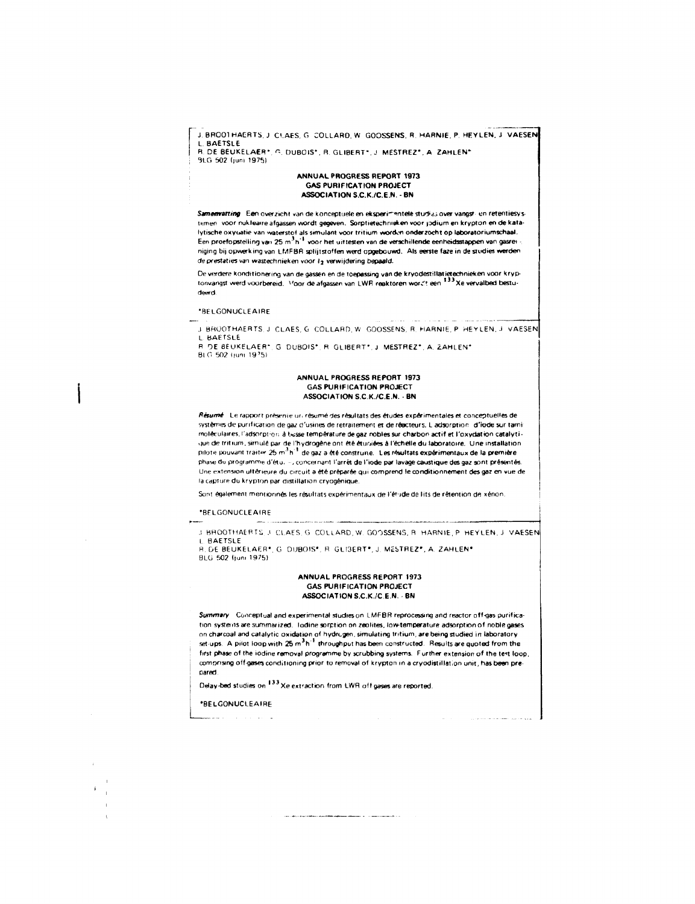J. BROO1 HAERTS, J. CLAES, G. COLLARD, W. GOOSSENS, R. HARNIE, P. HEYLEN, J. VAESEN L BAETSLE R. DE BEUKELAER\*, G. DUBOIS\*, R. GLIBERT\*, J. MESTREZ\*, A. ZAHLEN\* 9LG 502 duni 1975)

#### ANNUAL PROGRESS REPORT 1973 GAS PURIFICATION PROJECT ASSOCIATION S.C.K./C.E.N. - BN

Samenvatting Een overzicht van de konceptuele en eksperimentele studias over vangsti en retentiesystemen voor nukleaire afgassen wordt gegeven. Sorptietechnieken voor jodium en krypton en de katalytische oxyuatie van waterstof als simulant voor tritium wordon onderzocht op laboratoriumschaal.<br>Een proefopstelling van 25 m<sup>3</sup>h<sup>-1</sup> voor het uittesten van de verschillende eenheidsstappen van gasrei niging bij opwerking van LMFBR splijtstoffen werd opgebouwd. Als eerste faze in de studies werden de prestaties van wastechnieken voor  $i_2$  verwijdering bepaald.

De verdere kondttionering van de gassen en de toepassing van de kryodestillatietechnieken voor kryptonvangst werd voorbereid. Noor de afgassen van LWR reaktoren wordt een \*\*\* Xe vervalbed bestudeerd

#### •BELGONUCLEAIRE

.1 BHÜOTHAERTS. J CLAES. G COLLARD.W GOOSSENS, R. HARNIE. P HEYLEN. J VAESEN L BAETSLE

R DE BEUKELAER\*, G. DUBOIS\*, R. GLIBERT\*, J. MESTREZ\*, A. ZAHLEN\* BIG 60? Iiuni 19'5I

#### ANNUAL PROGRESS REPORT 1973 GAS PURIFICATION PROJECT ASSOCIATION S.C.K./C.E.N. • BN

Résurré Le rapport présenie un résumé des résultats des études expérimentales et conceptuelles de systèmes de purification de gaz d'usines de retraitement et de réacteurs. L adsorption d'iode sur tami moléculaires, l'adsorpi-on â Iwsse température de gaz nobles sur charbon actif et l'oxydation catalyti que de tritium, simulé par de l'hydrogène ont été étuoiées à l'échelle du laboratoire. Une installation pilote pouvant traiter 25 m<sup>3</sup> h<sup>1</sup> de gaz a été construite. Les résultats expérimentaux de la première phased» programme d'étu. .concernant l'arrêt de l'iode par lavage caustique des gaz sont présentés. Une extension ultérieure du circuit a été préparée qui comprend le conditionnement des gaz en vue de la capture du krypion par distillation cryogénique.

Sont également mentionnés les résultats expérimentaux de l'étude de lits de rétention de xénon.

#### •BELGONUCLEAIRE

.! BHOOTHAERTÜ ,l CLAES G COLIARD, W GOOSSENS, R HARNIE, P HEYLEN. J VAESEN L BAETSLE R DE BEUKELAER', G DUBOIS', R GLI3ERT' , J MÊSTREZ\*. A, ZAHLEN '

BLG 502 (jum 1975)

#### ANNUAL PROGRESS REPORT 1973 GAS PURIFICATION PROJECT ASSOCIATION S.C.K./C.E.N. - BN

Summary Conceptual and experimental studies on LMFBR reprocessing and reactor off-gas purification systems are summarized. Iodine sorption on zeolites, low-temperature adsorption of noble gases on charcoal and catalytic oxidation of hydrogen, simulating tritium, are being studied in laboratory set-ups. A pilot loop with 25 m h  $^\circ$  throughput has been constructed. Results are quoted from the first phase of the iodine removal programme by scrubbing systems. Further extension of the text loop, comprising of f-gases conditioning prior to removal of krypton in acryodistillation unit, has been prepared.

Delay-bed studies on  $^{133}$  Xe extraction from LWR off gases are reported.

•BELGONUCLEAIRE جانب يناديني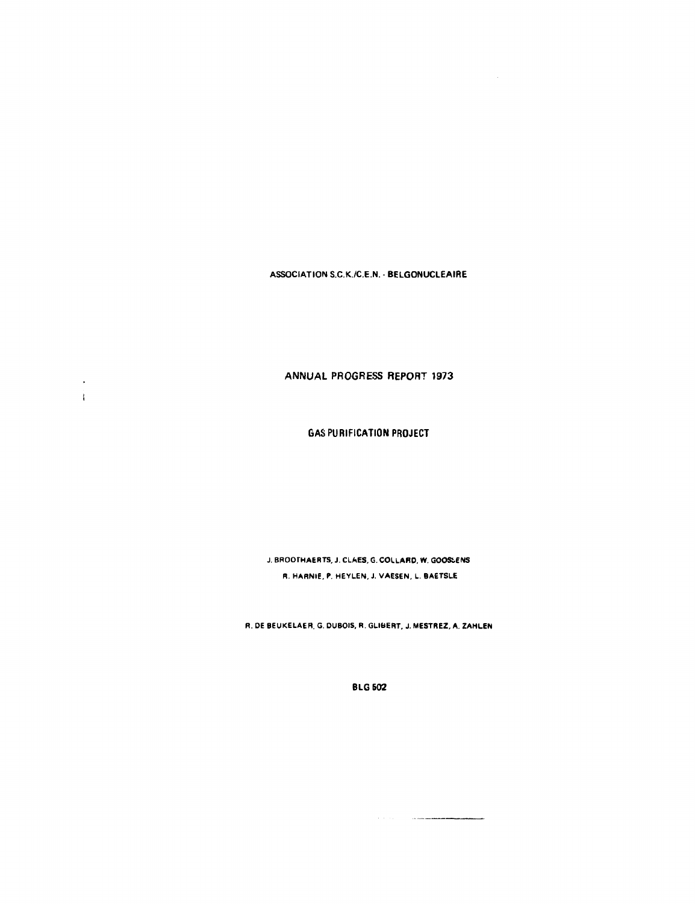**ASSOCIATION S.C.K./C.E.N. - BELGONUCLEAIRE** 

**ANNUAL PROGRESS REPORT 1973** 

 $\bullet$  $\mathbf{I}$ 

**GAS PURIFICATION PROJECT** 

**J. BROOrHAERTS, J. CLAES, G. COLLARD. W. GOOSfcENS R. HARNIE. P. HEYLEN, J. VAESEN, L. BAETSLE** 

**R. DE BEUKELAER. G. DUBOIS, R. GLIBERT, J. MESTREZ, A. ZAHLEN** 

**BLG502** 

 $\sim$   $\sim$   $\sim$   $\sim$   $\sim$   $\sim$   $\sim$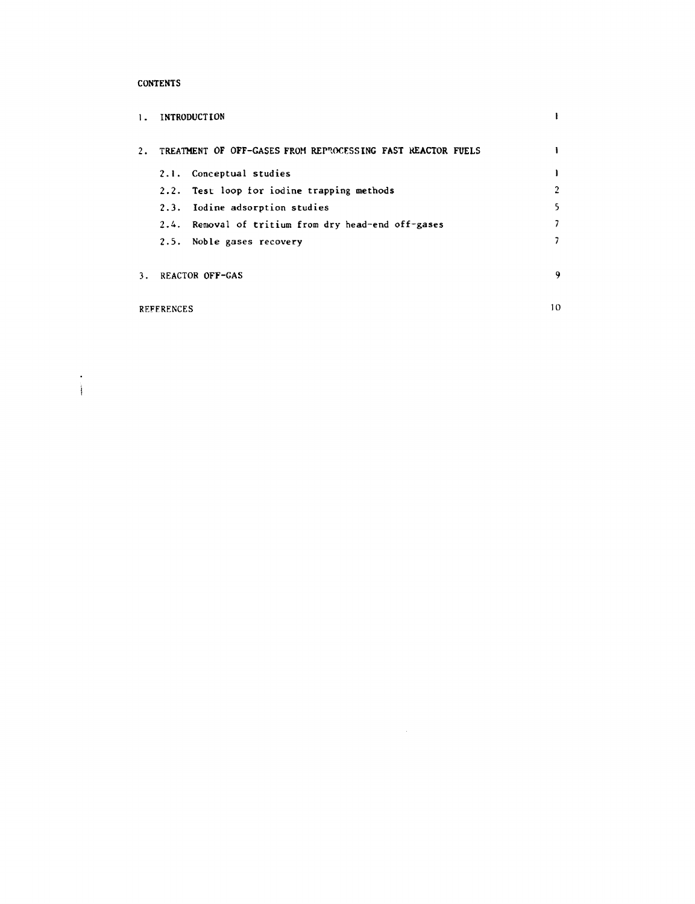## **CONTENTS**

| $1 -$ | <b>INTRODUCTION</b> |                                                             |    |
|-------|---------------------|-------------------------------------------------------------|----|
| 2.    |                     | TREATMENT OF OFF-GASES FROM REPROCESSING FAST REACTOR FUELS |    |
|       |                     | 2.1. Conceptual studies                                     |    |
|       |                     | 2.2. Test loop for iodine trapping methods                  | 2  |
|       |                     | 2.3. Iodine adsorption studies                              | 5  |
|       |                     | 2.4. Removal of tritium from dry head-end off-gases         |    |
|       |                     | 2.5. Noble gases recovery                                   |    |
| ٦.    |                     | REACTOR OFF-GAS                                             | -9 |
|       | <b>REFERENCES</b>   |                                                             | 10 |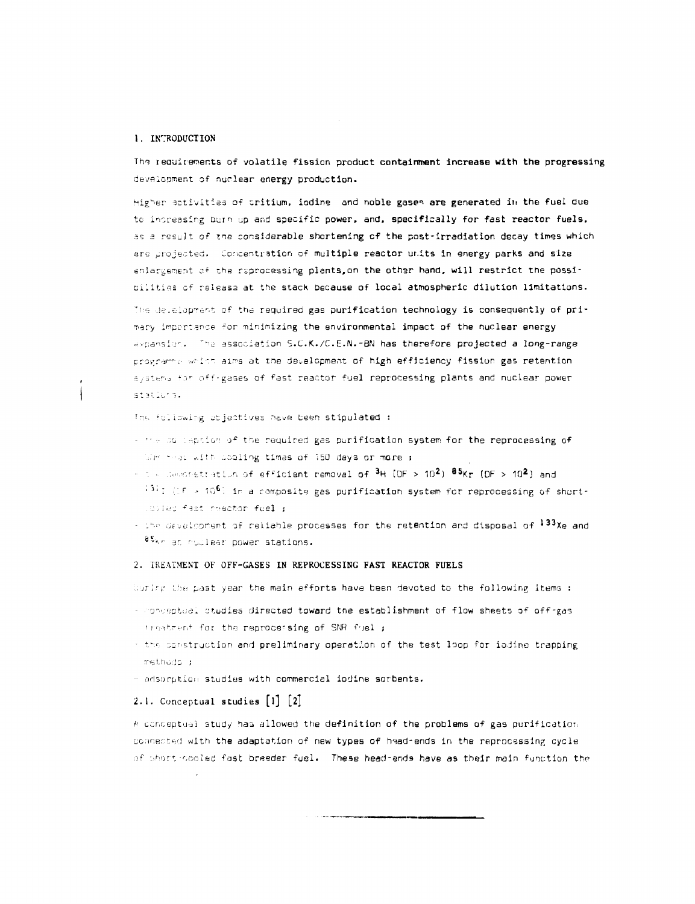#### 1. INTRODUCTION

 $\mathbf{I}$ 

The requirements of volatile fission product containment increase with the progressing development of nuclear energy production.

Higher activities of tritium, indine and noble gases are generated in the fuel due to increasing burn up and specific power, and, specifically for fast reactor fuels, as a result of the considerable shortening of the post-irradiation decay times which are projected. Concentration of multiple reactor units in energy parks and size enlargement of the raprocessing plants, on the other hand, will restrict the possibilities of release at the stack because of local atmospheric dilution limitations.

The detailopment of the required gas purification technology is consequently of primary impertance for minimizing the environmental impact of the nuclear energy expansion. The association S.C.K./C.E.N.-BN has therefore projected a long-range programe which aims at the development of high efficiency fission gas retention systems for off-gases of fast reactor fuel reprocessing plants and nuclear power stations.

The following objectives have been stipulated :

- the squieption of the required gas purification system for the reprocessing of With their with cooling times of 150 days or more ;
- The department ation of efficient removal of <sup>3</sup>H (DF > 10<sup>2</sup>) <sup>85</sup>Kr (DF > 10<sup>2</sup>) and  $^{131}$ I (IF > 10<sup>6</sup>) in a composite gas purification system for reprocessing of shortcostad fast reactor fuel ;
- the development of reliable processes for the retention and disposal of 133Xe and 85kr at rublear power stations.

### 2. TREATMENT OF OFF-GASES IN REPROCESSING FAST REACTOR FUELS

Uuring the past year the main efforts have been devoted to the following items :

- conceptual studies directed toward the establishment of flow sheets of off-gas treatment for the reprocessing of SNR fiel ;
- the construction and preliminary operation of the test loop for iodine trapping methods ;
- adsorption studies with commercial iodine sorbents.

# 2.1. Conceptual studies  $[1] [2]$

A conceptual study has allowed the definition of the problems of gas purification connected with the adaptation of new types of head-ends in the reprocessing cycle of short-cooled fast breeder fuel. These head-ands have as their main function the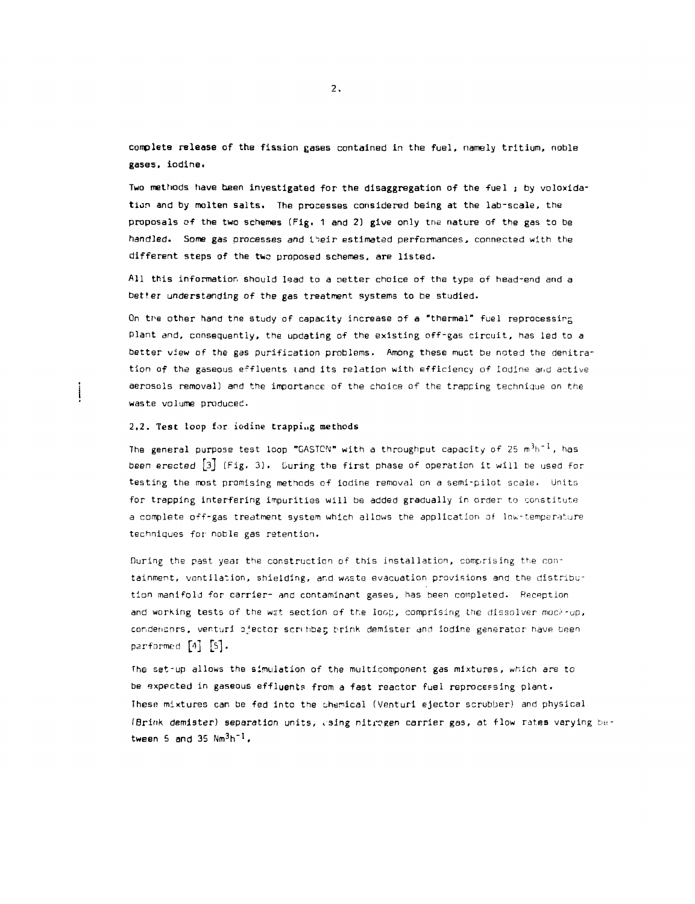complete release of the fission gases contained in the fuel, namely tritium, noble gases, iodine.

Two methods have been investigated for the disaggregation of the fuel ; by voloxidation and by molten salts. The processes considered being at the lab-scale, the proposals of the two schemes (Fig, 1 and 2) give only the nature of the gas to be handled. Some gas processes and t^eir estimated performances, connected with the different steps of the two proposed schemes, are listed.

All this information should lead to a oetter choice of the type of head-end and a better understanding of the gas treatment systems to be studied.

On the other hand the study of capacity increase of a "thermal" fuel reprocessing plant and, consequently, the updating of the existing off-gas circuit, has led to a better view of the gas purification problems. Among these must be noted the denitration of the gaseous effluents land its relation with efficiency of iodine arid active aerosols removal) and the importance of the choice of the trapping technique on the waste volume produced.

### 2.2. Test loop for iodine trapping methods

The general purpose test loop "GASTCN" with a throughput capacity of 25  $\mathrm{m}^3\mathrm{h}^{-1}$ , has been erected  $\begin{bmatrix} 3 \end{bmatrix}$  (Fig. 3). During the first phase of operation it will be used for testing the most promising methods of iodine removal on a semi-pilot scale. Units for trapping interfering impurities will be added gradually in order to constitute a complete off-gas treatment system which allows the application of low-temperature techniques for noble gas retention.

During the past year the construction of this installation, comprising the containment, ventilation, shielding, and waste evacuation provisions and the distribution manifold for carrier- and contaminant gases, has been completed. Reception and working tests of the wat section of the loop, comprising the dissolver mock-up, condensors, venturi ejector scrabber; brink demister and iodine generator have been parformed  $[4]$   $[5]$ .

The set-up allows the simulation of the multicomponent gas mixtures, which are to be expected in gaseous effluents from a fast reactor fuel reprocessing plant. These mixtures can be fed into the chemical (Venturi ejector scrubber) and physical (Brink demister) separation units, .sing nitrogen carrier gas, at flow rates varying between 5 and 35 Nm<sup>3</sup>h<sup>-1</sup>.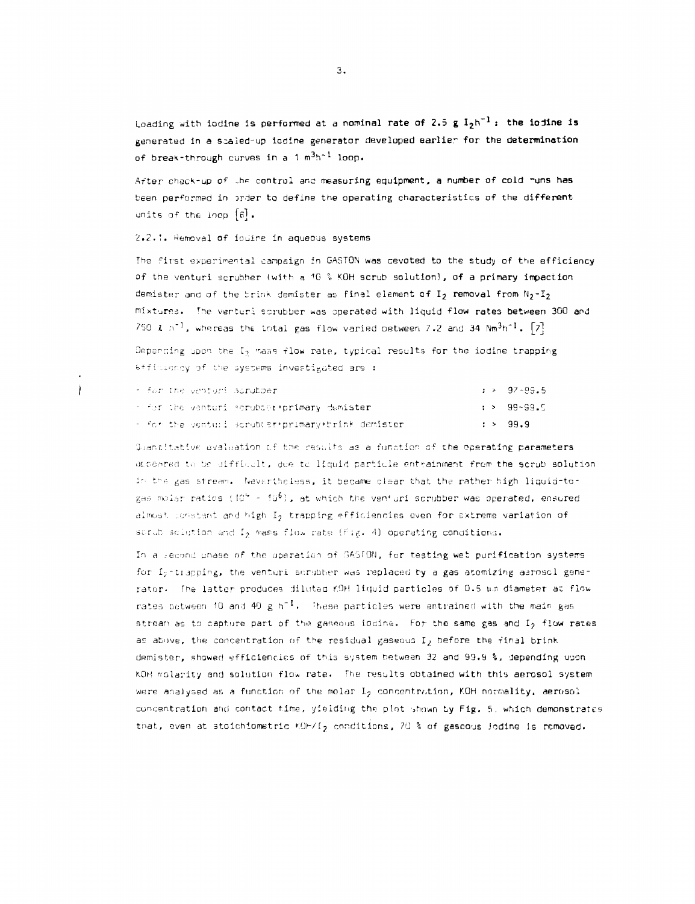Loading with iodine is performed at a nominal rate of 2.5 g  $I_2h^{-1}$ ; the iodine is generated in a scaled-up iodine generator developed earlier for the determination of break-through curves in a  $1 \text{ m}^3 \text{h}^{-1}$  loop.

After check-up of the control and measuring equipment, a number of cold runs has been performed in order to define the operating characteristics of the different units of the loop  $[6]$ .

2.2.1. Removal of iodine in aqueous systems

The first experimental campaign in GASTON was cevoted to the study of the efficiency of the venturi scrubher (with a 10 % KOH scrub solution), of a primary impaction demister and of the brink demister as final element of  $I_2$  removal from  $N_2-I_2$ mixtures. The venturi scrubber was operated with liquid flow rates between 300 and 750  $x$  n<sup>-1</sup>, whereas the total gas flow varied between 7.2 and 34  $Nm<sup>3</sup>h<sup>-1</sup>$ . [7]

Depending upon the I2 mass flow rate, typical results for the iodine trapping efficiency of the systems investigated are :

|  |  | - for the venturi scrubber.                            |  | $: > 97 - 99.5$ |
|--|--|--------------------------------------------------------|--|-----------------|
|  |  | $\sim$ for the venturi scrubior primary demister.      |  | > 99-99.5       |
|  |  | $\pm$ for the venturi scrubust+primary+brink demister. |  | : > 99.9        |

Guantitative evaluation of the rasults as a function of the operating parameters appeared to be difficult, due to liquid particle entrainment from the scrub solution in the gas stream. Nevartheless, it became clear that the rather high liquid-togas molar ratios (10<sup>6</sup> - 10<sup>6</sup>), at which the venturi scrubber was operated, ensured almost constant and high I2 trapping efficiencies even for extreme variation of scrub solution and I<sub>2</sub> mass flow rate (Fig. 4) operating conditions.

In a second phase of the operation of GASTON, for testing wet purification systems for I<sub>2</sub>-trapping, the venturi scrubber was replaced by a gas atomizing aeroscl generator. The latter produces diluted KOH liquid particles of 0.5 um diameter at flow rates between 10 and 40 g h<sup>-1</sup>. These particles were entrained with the main gas stream as to capture part of the gaseous iddine. For the same gas and  $I_2$  flow rates as above, the concentration of the residual gaseous I, before the final brink demister, showed efficiencies of this system between 32 and 99.9 %, depending upon KOH molarity and solution flow rate. The results obtained with this aerosol system were analysed as a function of the molar I<sub>2</sub> concentration, KOH normality, aerosol concentration and contact time, yielding the plot shown by Fig. 5, which demonstrates that, even at stoichiometric KOH/I<sub>2</sub> conditions, 70 % of gascous lodine is removed.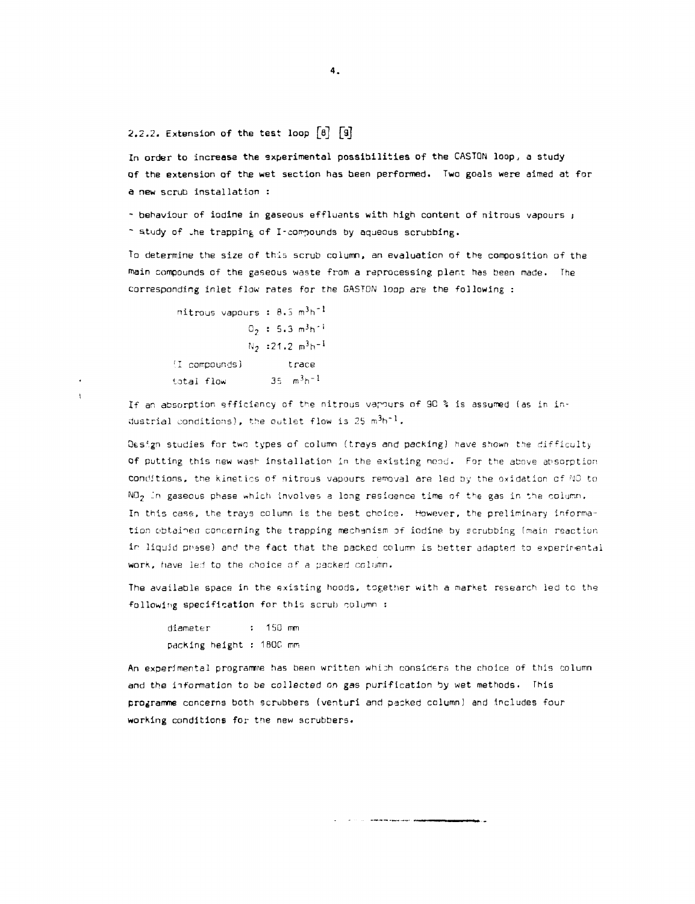2.2.2. Extension of the test loop [a] [a]

In order to increase the experimental possibilities of the GASTON loop., a study of the extension of the wet section has been performed. Two goals were aimed at for a new scrub installation :

- behaviour of iodine in gaseous effluents with high content of nitrous vapours ; ~ study of the trapping of I-compounds by aqueous scrubbing.

To determine the size of this scrub column, an evaluation of the composition of the main compounds of the gaseous waste from a reprocessing plant has been made. The Corresponding inlet flaw rates for the GASTON loop are the following :

 $nitrous vapours : 8.5 m<sup>3</sup>h<sup>-1</sup>$  $0_2$  : 5.3 m<sup>3</sup>h<sup>-1</sup>  $N_2$  :21.2  $m^3 h^{-1}$ 'I compounds) trace total flow  $35 - m^3h^{-1}$ 

ŧ

If an absorption efficiency of the nitrous vapours of 9C % is assumed (as in industrial conditions), the outlet flow is  $25 \text{ m}^3\text{h}^{-1}$ .

Qesign studies far two types of column (trays and packing) have shown the difficulty of putting this new wash installation in the existing ncod. For the above absorption conditions, the kinetics of nitrous vapours removal are led by the oxidation of HO to  $N0<sub>2</sub>$  in gaseous phase which involves a long residence time of the gas in the column. In this case, the trays column is the best choice. However, the preliminary information obtained concerning the trapping mechanism of iodine by scrubbing (main reaction in liquid phase) and the fact that the packed column is better adapted to experimental work, have led to the choice of a packed column.

The available space in the existing hoods, together with a market research led to the following specification for this scrub column :

diameter : 150 mm packing height : 180C mm

An experimental programme has been written which considers the choice of this column and the information to be collected on gas purification by wet methods. This programme concerns both scrubbers (venturi and packed column) and includes four working conditions for the new scrubbers.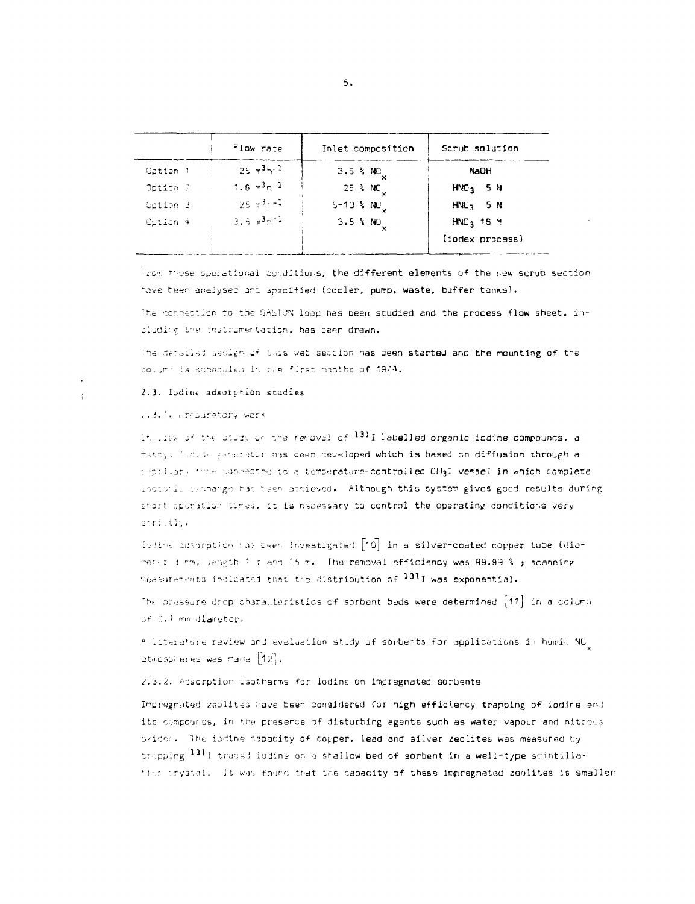|          | Flow rate    | Inlet composition | Scrub solution        |
|----------|--------------|-------------------|-----------------------|
| Cation 1 | $25 m3h-1$   | $3.5$ % NO        | NaūH                  |
| Option 2 | $1.6 m3n-1$  | $25$ % NO         | $HNG3 = 5 N$          |
| Option 3 | $25.53 - 1$  | $5 - 10$ % $NOu$  | $HNO3$ 5 N            |
| Cotion 4 | $3.5 m3 m-1$ | $3.5$ % NO        | HNO <sub>3</sub> 16 M |
|          |              |                   | (iodex process)       |

From these operational conditions, the different elements of the new scrub section have been analysed and specified (cooler, pump, waste, buffer tanks).

The connection to the GASTON loop has been studied and the process flow sheet, including the instrumentation, has been drawn.

The detailed assign of this wet section has been started and the mounting of the column is schaduled in the first months of 1974.

### 2.3. Iodine adsorption studies

### 2.3.1. Frederatory work

In liew of the study of the removal of  $^{131}1$  labelled organic iodine compounds, a mathy. Luting early retir has been developed which is based on diffusion through a expellery this connected to a temperature-controlled CH3I vessel in which complete isotopic exchange has teen achieved. Although this system gives good results during short operation times, it is necessary to control the operating conditions very strictly.

Ibdine adsorption has been investigated [10] in a silver-coated copper tube (diamater 3 mm, length 1 m and 15 m. The removal efficiency was 99.99 % ; scanning measurements indicated that the distribution of 1311 was exponential.

The pressure drop characteristics of sorbent beds were determined  $\lceil 1 \rceil$  in a column of 0.4 mm diameter.

A literature raview and evaluation study of sorbents for applications in humid NO<sub>.</sub> atmospheres was made [12].

2.3.2. Adsorption isotherms for iodine on impregnated sorbents

Impregnated zabilites have been considered for high efficiency trapping of iodine and its compoures, in the presence of disturbing agents such as water vapour and nitrous okides. The iddine capacity of copper, lead and ailver zeolites was measured by trapping 1311 traced loding on a shallow bed of sorbent in a well-type scintillation crystal. It was found that the capacity of these impregnated zeolites is smaller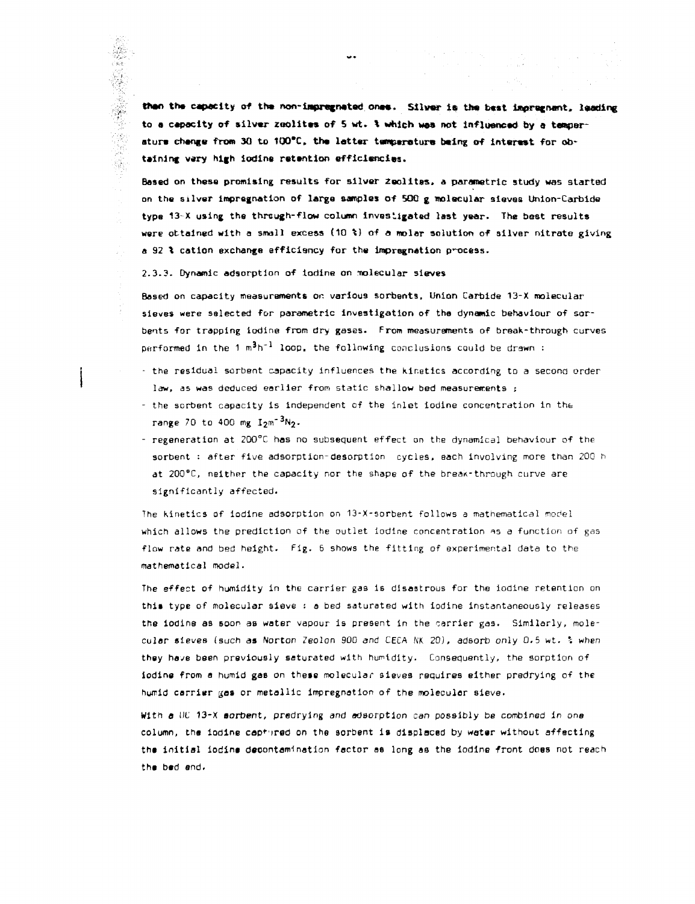than the capacity of the non-impregnated ones. Silver is the bast impregnant, leading to a capacity of silvar zoolitas of 5 wt, t which was net influençai by a tamperature change from 30 to 100°C, the latter tamperature baing of interest for obtaining wary high iodine ratantion efficiencies.

Based on these promising results for silver Zaolltas. a parametric study was started on the silver impregnation of large samples of 500 g molecular sieves Union-Carbide type 13-X using the through-flow column investigated last year. The best results were ottained with a small excess (10 %} of a molar solution of silver nitrate giving a 92 % cation exchange efficiency for the impregnation process.

2.3.3. Dynamic adsorption of iodine on molecular sieves

Based on capacity measurements or. various sorbents. Union Carbide 13-X molecular sieves were selected for parametric investigation of the dynamic behaviour of sorbents for trapping iodine from dry gases. From measurements of break-through curves performed in the 1  $m^3h^{-1}$  loop, the following conclusions could be drawn :

- the residual sorbent capacity influences the kinetics according to a second order law, as was deduced earlier from static shallow bed measurements i
- the sorbent capacity is independent of the inlet iodine concentration in the range 70 to 400 mg  $12m^{-3}N_2$ .
- regeneration at 2Q0°C has no subsequent effect on the dynamical behaviour of the sorbent : after five adsorption-desorption cycles, each involving more than 200 h at  $200^{\circ}$ C, neither the capacity nor the shape of the break-through curve are significantly affected.

The kinetics of iodine adsorption on 13-X-sorbent follows a mathematical model which allows the prediction of the outlet iodine concentration as a function of gas flow rate and bed height. Fig. 6 shows the fitting of experimental data to the mathematical model.

The effect of humidity in the carrier gas Is disastrous for the iodine retention on this type of molecular sieve : a bed saturated with iodine instantaneously releases the iodine as soon as water vapour is present in the carrier gas. Similarly, molecular sieves (such as Norton Zeolon 900 and CECA HK 20), adsorb only 0.5 wt. \ when they have been previously saturated with humidity. Consequently, the sorption of iodine from a humid gas on these molecular sieves requires either predrying of the humid carrier gas or metallic impregnation of the molecular sieve.

With a UC 13-X sorbent, predrying and adsorption can possibly be combined in one column, the iodine captured on the sorbent is displaced by water without affecting the initial iodina decontamination factor ae long as the iodine front does not reach tha bad and.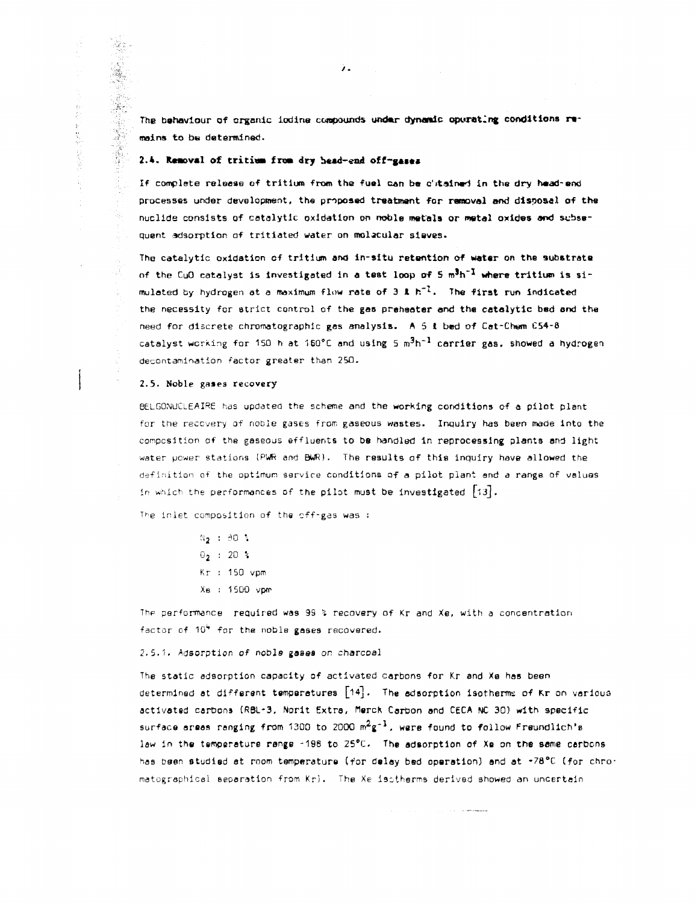The behaviour of organic iodine compounds under dynamic opurating conditions remains to be determined.

### 2.4. Removal of tritium from dry bead-end off-gases

If complete release of tritium from the fuel can be c'itained in the dry head-end processes under development, the proposed treatment for removal and disposal of the nuclide consists of catalytic oxidation on noble metals or metal oxides *and* subsequent adsorption of tritiated water on molecular sieves-

The catalytic oxidation of tritium and in-situ retention of water on the substrate of the CuO catalyst is investigated in a test loop of 5  $m^3h^{-1}$  where tritium is simulated by hydrogen at a maximum flow rate of 3 & h<sup>-1</sup>. The first run indicated the necessity for strict control of the gas prehaater and the catalytic bed and the need for discrete chromatographic gas analysis. A 5 t bed of Cat-Chem C54-S catalyst working for 150 h at 160°C and using 5  $\mathrm{m}^{3}\mathrm{h}^{-1}$  carrier gas, showed a hydrogen  $^{12}$ decontamination factor greater than 250.

#### 2.5. Noble gases recovery

手が

医核粒化

Taylor.

BELGONUCLEAIRE has updated the scheme and the working conditions of a pilot plant for the recovery of noble gases from gaseous wastes. Inquiry has been made Into the composition of the gaseous effluents to be handled in reprocessing plants and light water power stations (PWR and BWR). The results of this inquiry have allowed the definition of the optimum service conditions of a pilot plant and a range of values in which the performances of the pilot must be investigated  $\{13\}$ .

The inlet composition of the off-gas was :

N<sub>2</sub> : 80 %  $0_2$  : 20 % Kr 1 SO vpm Xe 1500 vpm

Thp performance reauired was 99 *%* recovery of Kr and Xe, with a concentration factor of  $10^4$  for the noble gases recovered.

### 2.S.1. Adsorption of noble gases on charcoal

The static adsorption capacity of activated carbons for Kr and Xe has been determined at different temperatures  $\lceil 14 \rceil$ . The adsorption isotherme of Kr on various activated carbons (RBL-3, Norit Extra, flerch Carbon and CECA NC 30) with specific surface areas ranging from 1300 to 2000  $m^2g^{-1}$ , were found to follow Freundlich's law in the temperature range -198 to 25°C. The adsorption of Xe on the same cerbons has been studied at room temperature (for delay bed operation) and at \*78°C (for chromatographicel separation from Kr). The Xe isotherms derived showed an uncertain

**The Committee of the Committee**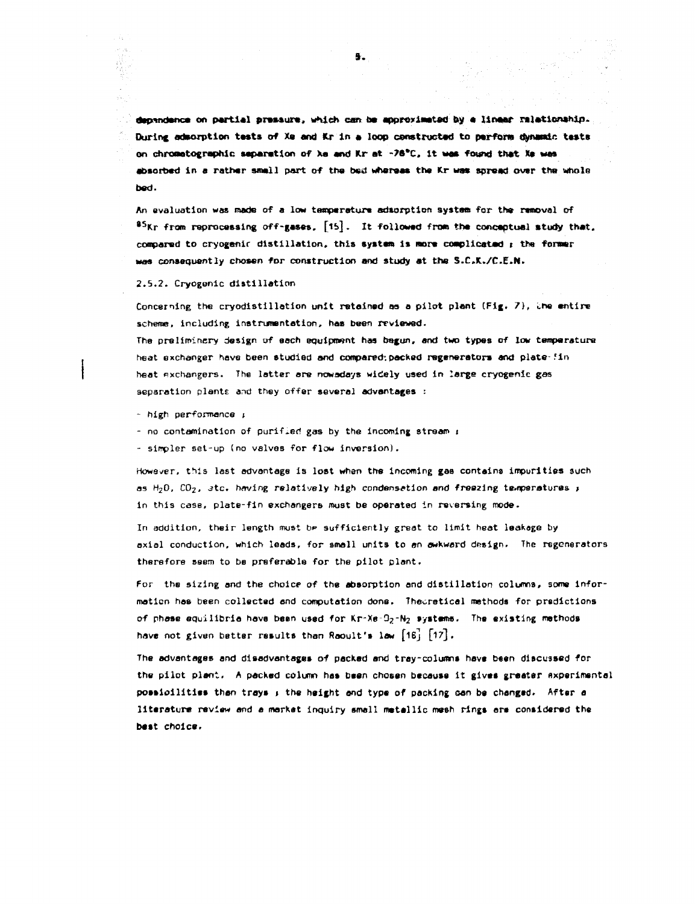dependence on partial pressure, which can be approximated by  $\alpha$  linear relationship. During admorption tests of Xa and Kr in a loop constructed to perform dynamic tests en chromatographic separation of Xa and Kr at -76<sup>°</sup>C, it was found that Xe was **absorbed in a rather small part of the bed whereas the Kr was spread over the whole bed.** 

An evaluation was made of a low temperature adsorption system for the removal of **\* <sup>5</sup>Kr from reprocessing off-gases, [lb]. It followed from the conceptual study that,**  compared to cryogenic distillation, this system is more complicated ; the former **was consequently chosen for construction and study at the S.C.K./C.E.N.** 

**2.5.2. Cryogenic distillation** 

 $\mathcal{J}_{\mathcal{Q}}$ 

**Concerning the cryodistillotion unit retained as a pilot plant (Fig,** *7),* **the entire scheme, including instrumentation, has been reviewed.** 

**The preliminery design of each equipment has begun, and two types of low temperature heat exchanger have been studied and compared', packed regenerators and plate-?in heat Rxchangers. The latter are nowadays widely used in large cryogenic gas separation plants and they offer several advantages :** 

**- high performance i** 

*-* **no contamination of purified gas by the incoming stream** *t* 

**- simpler set-up (no valves for flow inversion).** 

**However, this last advantage is lost whan the incoming gas contains impurities such**  as  $H_2D$ ,  $CO_2$ , atc. having relatively high condensation and freezing temperatures  $\mu$ **in this case, plate-fin exchangers must be operated in reversing mode.** 

**In addition, their length must** *bv* **sufficiently great to limit heat leakage by axial conduction, which leads, for small units to on awkward design. The regenerators therefore seem to be preferable for the pilot plant.** 

**For the sizing and the choice of the absorption and distillation columns, some Information has been collected end computation done. Theoretical methods for predictions**  of phase equilibria have been used for Kr-Xe-D<sub>2</sub>-N<sub>2</sub> systems. The existing methods have not given better results than Reoult's lew [16] [17].

**The advantages and disadvantages of packed and tray-columns have been discussed for the pilot plant. A packed column has been chosen because it gives greater expérimental possibilities than trays 1 the height and type of packing oan be changed. After a literature review and a market inquiry small metallic mesh rings are considered the best choice.**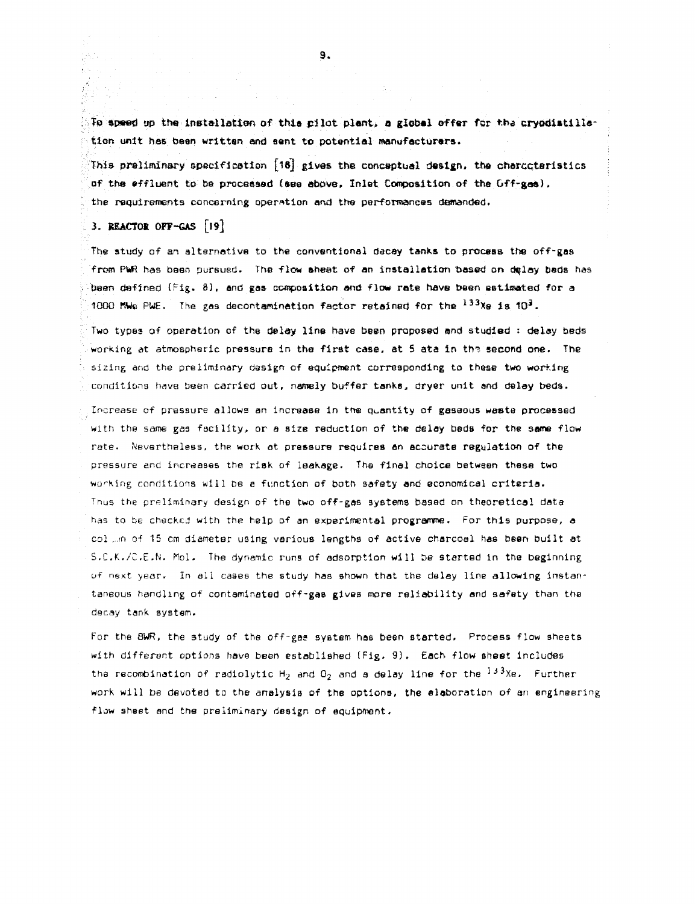**Ta speed up the installation of this pilot plant, a global offer for the cryodistilla**tion unit has been written and eant to potential manufacturers.

This preliminary specification  $[18]$  gives the conceptual design, the charcctaristics of the effluent to be processed (see above. Inlet Composition of the Off-gas). the requirements concerning operation and the performances demanded.

# 3. REACTOR OFF-GAS [19]

The study of an alternative to the conventional decay tanks to process the off-gas from PWR has been pursued. The flow sheet of an installation based on delay beds has been defined (Fig. 8), and gas- composition and flow rate have been estimated for a 1000 MWe PWE. The gas decontamination factor retained for the  $^{133}\%$ e is 10 $^{3}$ .

Two types of operation of the delay line have been proposed and studied : delay beds working at atmospheric pressure in the first case, at 5 ata in the second one. The sizing and the preliminary design of equipment corresponding to these two working conditions have been carried out, namely buffer tanks, dryer unit and delay beds.

Increase of pressure allows *an* increase in the quantity of gaseous waste processed with the same gas facility, or a SIZB reduction of the delay beds for the same flow rate. Nevertheless, the work at pressure requires an accurate regulation of the pressure and increases the risk of leakage. The final choice between these two working conditions will be e function of both safety and economical criteria. Thus the preliminary design of the two off-gas systems based on theoretical data has to be checked with the help of an experimental programme, For this purpose, a col ...n of 15 cm diameter using various lengths of active charcoal has been built at S.C.K./C.E.N. Mol. The dynamic runs of adsorption will be started in the beginning of next year. In all cases the study has shown that the delay line allowing instantaneous handling of contaminated off-gas gives more reliability and safety than the decay tank system.

For the 8WR, the study of the off-gas system has been started. Process flow sheets with different options have been established (Fig. 9). Each flow sheet includes the recombination of radiolytic  ${\sf H}_2$  and  ${\sf O}_2$  and a delay line for the  $^{13\,3}\%$ e. Further  $^1$ work will be devoted to the analysis of the options, the elaboration of an engineering flow sheet and the preliminary design of equipment.

9.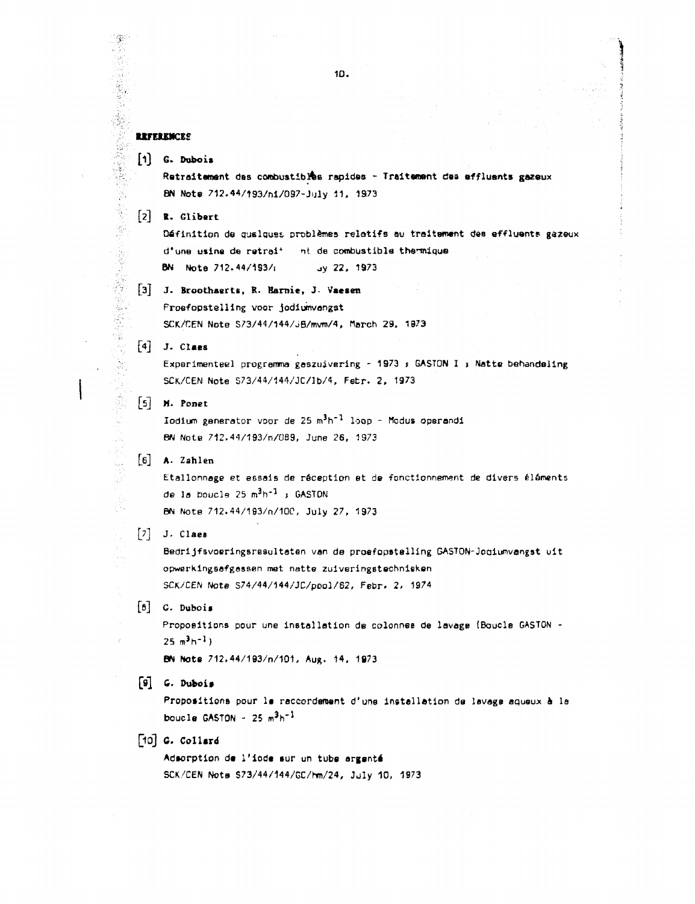### **REFERENCES**

「そのことのことをする」

Í  $\mathcal{O}_\lambda$ ş.

Ş

 $[1]$  G. Dubois

Retraitement des combustibles rapides - Traitement dea affluants gazeux BN Note 712.44/193/ni/097-July 11, 1973

[2] ». Glibert

Définition de qualques problèmes relatifs au traitement des effluents gazeux d'una usina de retrei<sup>+</sup> nt de combustible thermique BN Note 712.44/193/; 3y 22, 1973

# [3] *J.* Broothaert\*. R. Bami e, J **Vaceen**  Proefopstelling voor jodiumvangst SCK/CEN Note S73/44/144/JB/mvm/4, March 29, 1873

## [4] J. Claes

Experimenteel programma gaszuivering - 1973 ; GASTON I ; Natte behandeling SCK/CEN Note S73/44/144/JC/lb/4, Fetr. 2, 1973

[5] M- Ponet

lodium generator voor de 25 m<sup>3</sup>h<sup>-1</sup> loop - Modus operandi BN NotB 712.44/193/n/089, June 26, 1973

# [e] A. Zahlen

Etallonnage et essais de réception et de fonctionnement de divers éléments de la boucle 25  $m^3h^{-1}$  ; GASTON BN Note 712.44/183/n/100, July 27, 1973

### $[7]$  J. Claes

Bedrijfsvoeringsresulteten van da proefopstelling GASTON-Joaiumvangst uit opwarkingsafgassen met natte zuiveringstechnieken SCK/CÊN Note S74/44/144/JC/pool/62, Febr. 2, 1974

# [s] G. Duboi»

Propositions pour une installation de colonnee de lavage (Boucle GASTON -  $25 m<sup>3</sup> h<sup>-1</sup>$ )

**BN Note 712.44/193/n/101, Aug. 14, 1973** 

### [9] G. Duboi»

Propositions pour le raccordement d'une installation de lavage aqueux à la boucle GASTON -  $25 \text{ m}^3\text{h}^{-1}$ 

# $[10]$  G. Collard

Adaorption de l'iode eur un tube argenté SCK/CEN Not» S73/44/144/GC/hm/24, July 10, 1973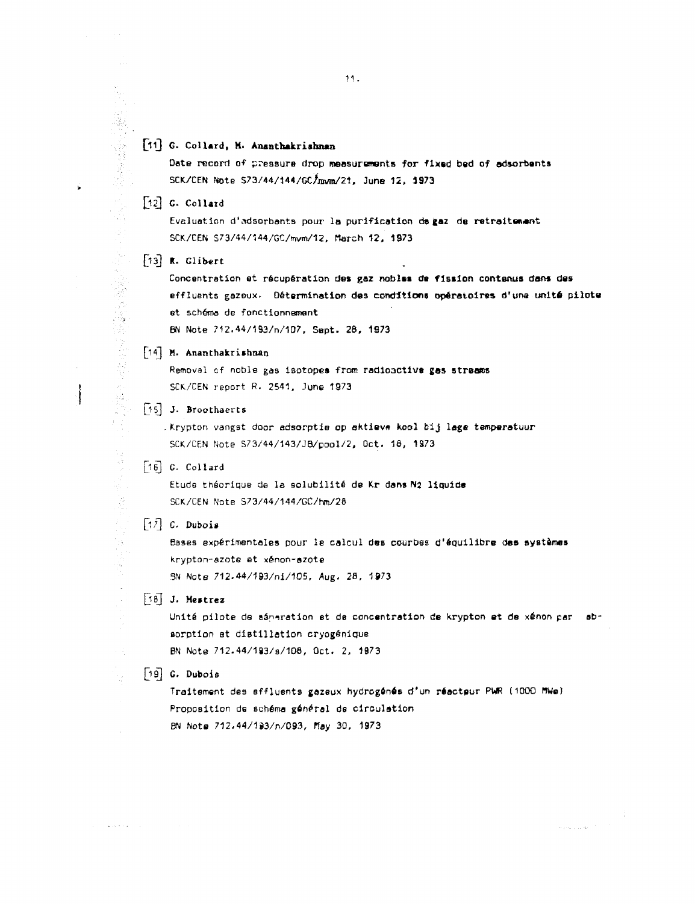# [11] G. Collard, M. Ananthakrishnan

Date record of pressure drop measurements for fixed bed of adsorbents SCK/CEN Note S73/44/144/GC/jnvm/21, June 12, 1973

 $[12]$  G. Collard

「大学のことをある」ということを、「このことをある」ということを、「このことを、このことを、「このことを、「このことを、「このことを、「このことを、「このことを、「このことを、「このことを、「このこと

医皮肤病 医心理学 医心房 医心理学 化硫酸

医紫色体 经保险

riy.

j.

Evaluation d'adsorbants pour la purification de gaz de retraitement SCK/CEN S73/44/144/GC/mvm/12, March 12, 1973

 $\begin{bmatrix} 13 \end{bmatrix}$  R. Glibert

Concentration et récupération des gaz nobles de fission contenus dans des effluents gazeux. Détermination des conditions opératoires d'une unité pilote et schéma de fonctionnement

BN Note ?12.44/193/n/107. Sept- 28, 1873

[l4] M. Ananthakrishnan

Removal of noble gas isotopes from radioactive gas streams SCK/CEN report R. 2541, June 1973

[15] J. Broothaerts

.Krypton vangst door adsorptie op ektiev» kool bij loge temperatuur SCK/CEN Note S73/44/143/JB/pool/2, Oct. 18, 1973

[16] G. Collard

Etude théorique de la solubilité de Kr dans N2 liquide SCK/CEN Note S73/44/144/GC/hm/28

 $\lceil 1 \rceil$  C. Dubois

Bases expérimentales pour le calcul des courbes d'équilibre des systèmes krypton-azote et xénon-azote 3N Note 712.44/193/ni/105, Aug. 28, 1973

[18] J. Mestrez

Unité pilote de séparation et de concentration de Krypton ot de xénon par absorption et distillation cryogénique BN Note 712.44/1B3/8/1D6, Oct. 2, 1873

 $\alpha$  -production of  $\alpha$ 

[19] C. Dubois

Traitement des effluents gazeux hydrogénés d'un réacteur PWR (1DOO MWe) Proposition de schéma général de circulation BN Note 712.44/l93/n/093, rtay 30, 1373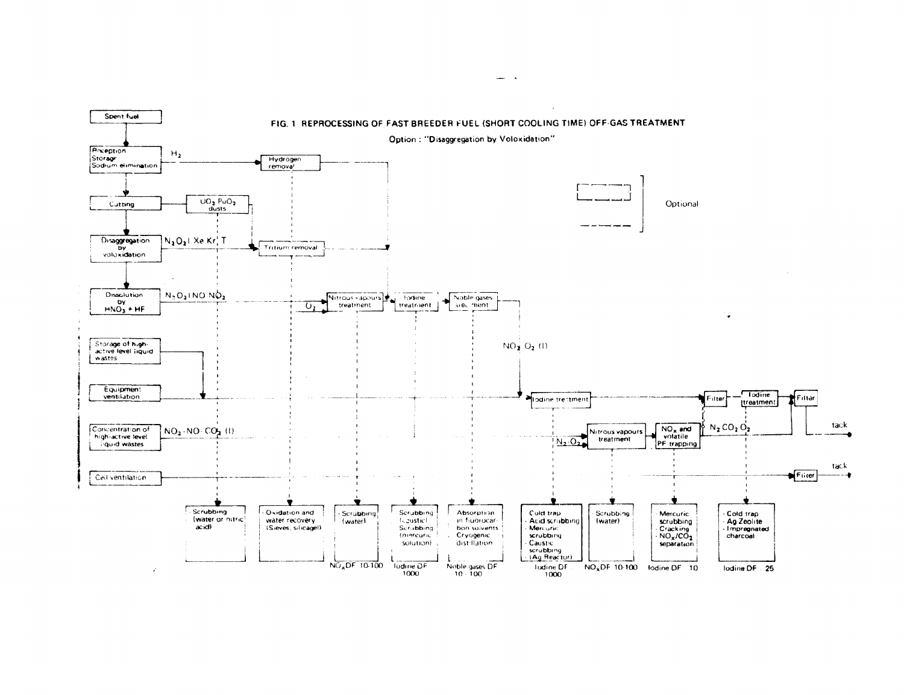

 $\mathbf{r}$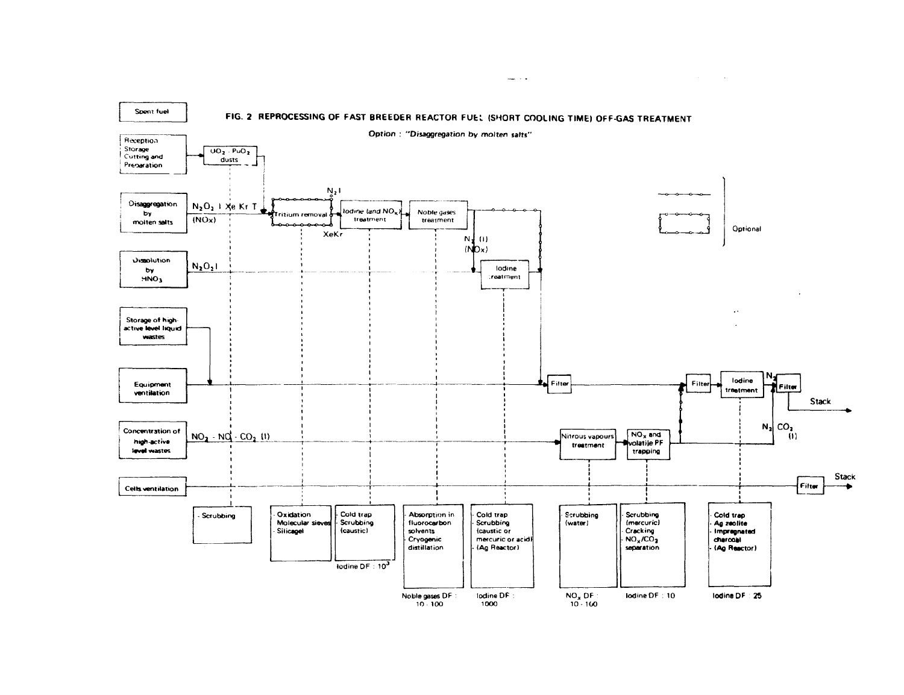

 $\frac{1}{2} \frac{1}{2} \frac{1}{2} \frac{1}{2} \frac{1}{2} \frac{1}{2} \frac{1}{2}$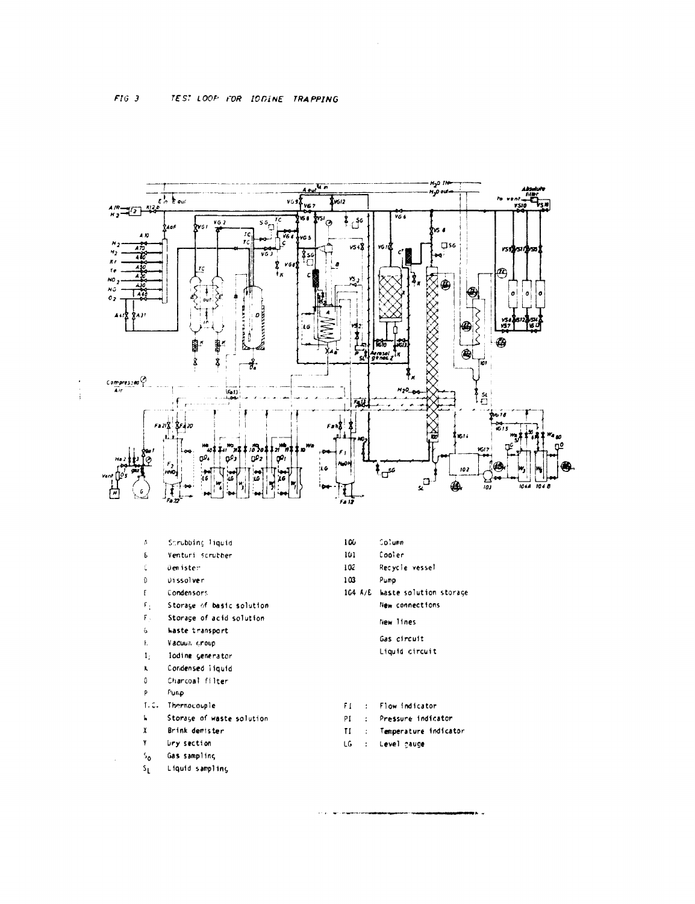

 $\sim$ 

| Α              | Scrubbinc Tiquid          | 106           | Column                 |
|----------------|---------------------------|---------------|------------------------|
| Ь              | Venturi scrubber          | 101           | Cooler                 |
| C              | Den ister                 | 102           | Recycle vessel         |
| $\Omega$       | Uissolver                 | 103           | Pump                   |
| E              | Condensors                | $104$ $A/E$   | haste solution storage |
| $\mathsf{F}_1$ | Storage of basic solution |               | New connections        |
| F.             | Storage of acid solution  |               | New lines              |
| 6              | <b>Waste transport</b>    |               |                        |
| ł.             | Vacuum croup              |               | Gas circuit            |
| 1,             | lodine generator          |               | Liquid circuit         |
| K              | Condensed Tiquid          |               |                        |
| 0              | Charcoal filter           |               |                        |
| p              | Punp                      |               |                        |
| 1. C.          | Thermocouple              | FГ<br>$\cdot$ | Flow indicator         |
| ŀ.             | Storage of waste solution | ΡI<br>÷       | Pressure indicator     |
| X              | Brink demister            | TΙ<br>÷       | Temperature indicator  |
| ۲              | <b>Ury section</b>        | LG<br>÷       | Level cauge            |
| ه:             | Gas sampling              |               |                        |
|                |                           |               |                        |

 $S_{\rm L}$ Liquid sampling

 $\sim$ 

an ya mwaka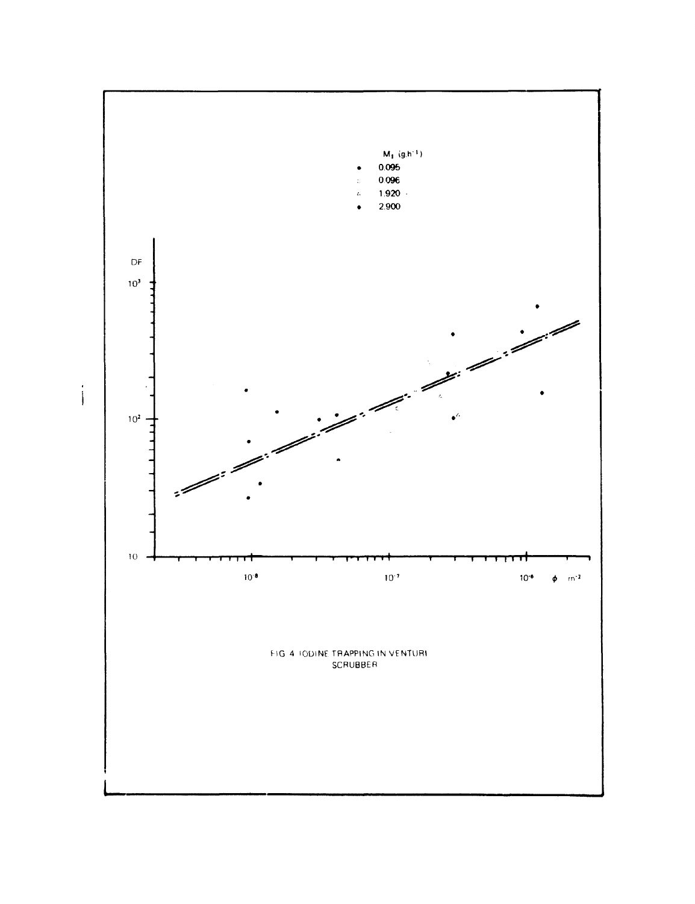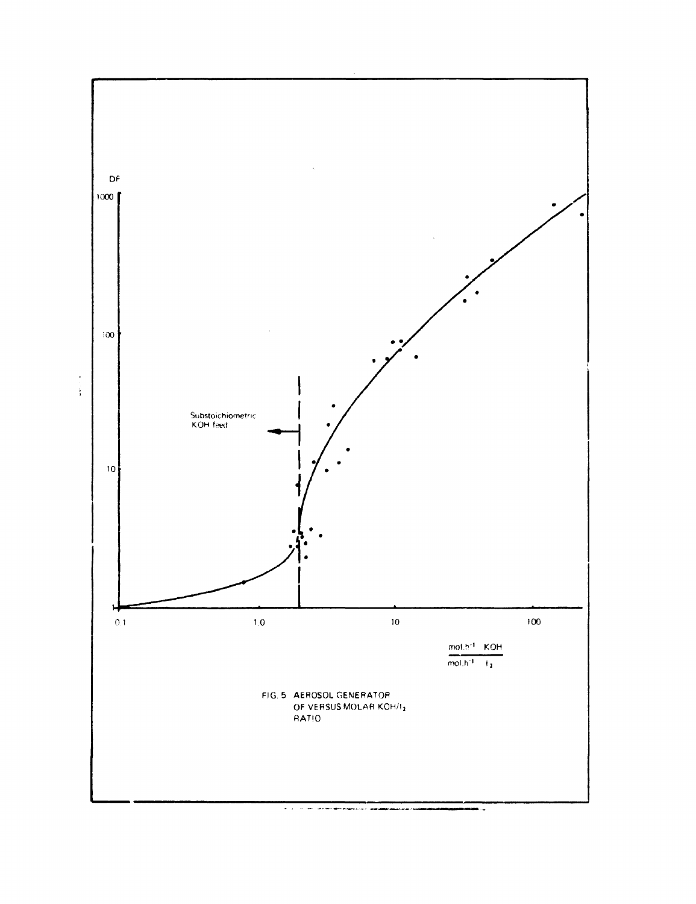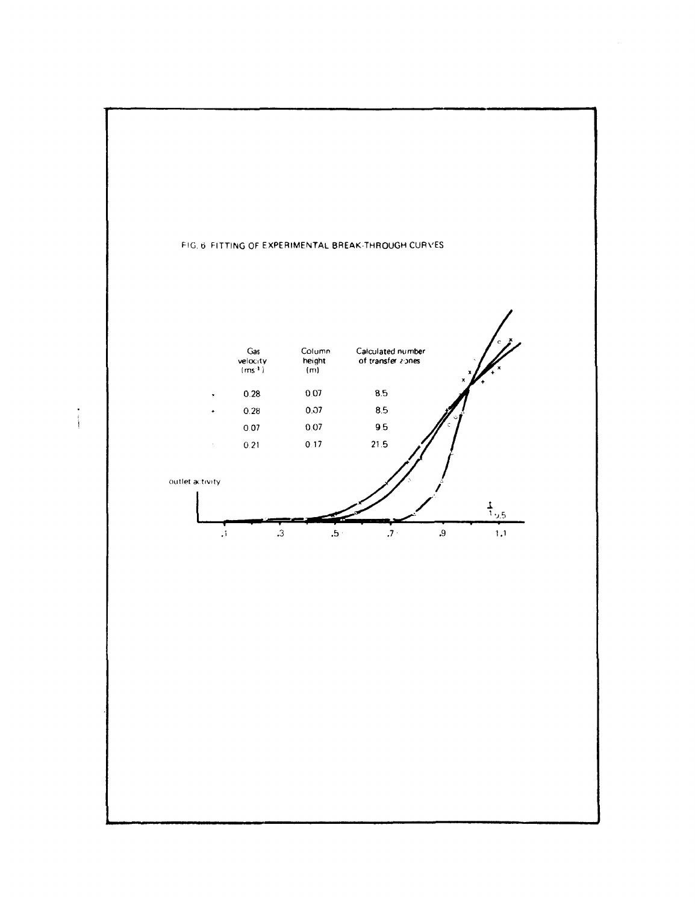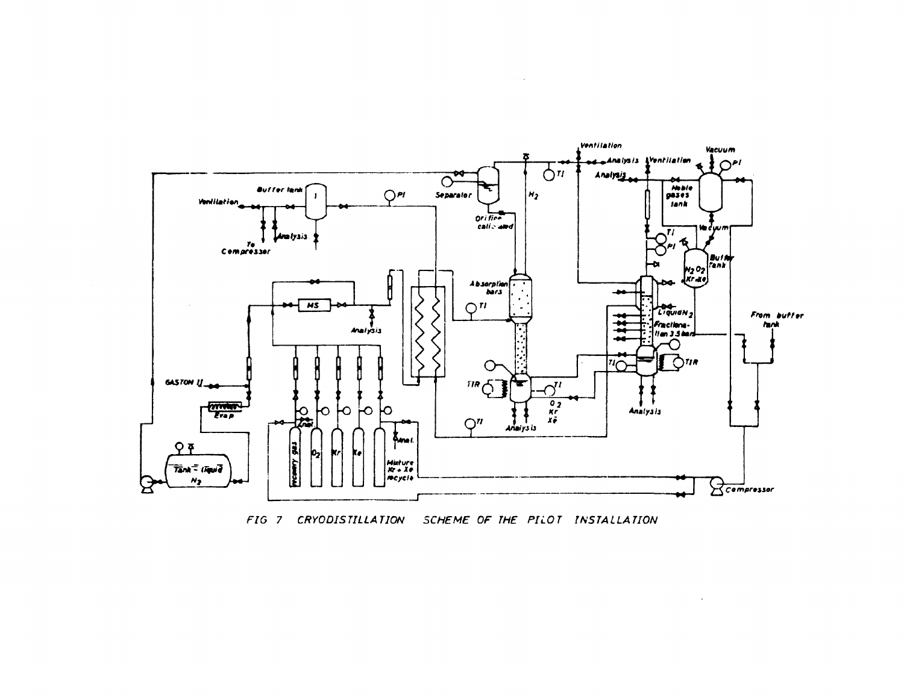

FIG 7 CRYODISTILLATION SCHEME OF THE PILOT INSTALLATION

 $\sim$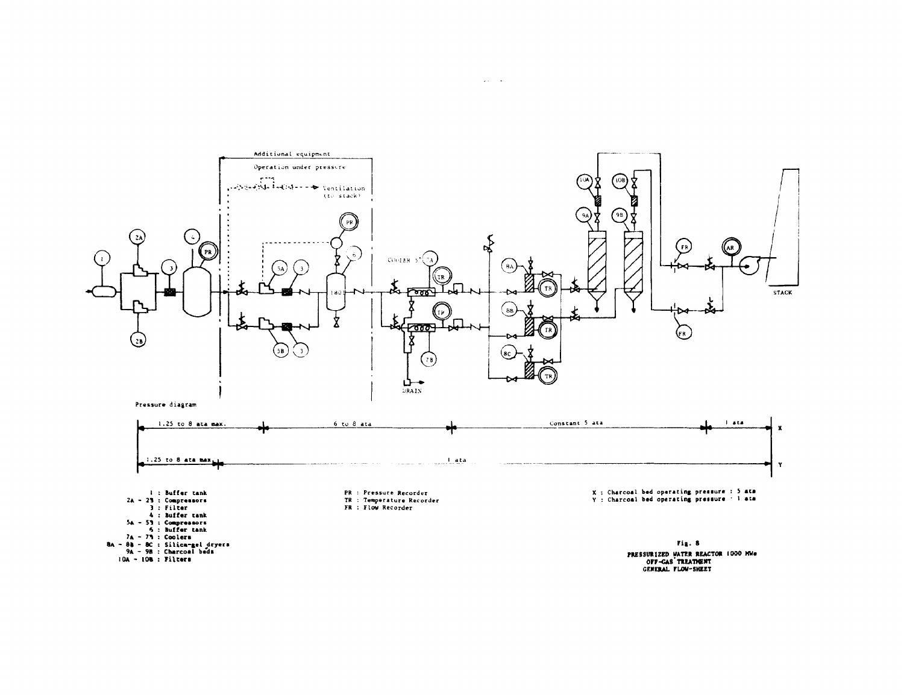

**PRESSURIZED WATER REACTOR 1000 MWg<br>OFF-GAS TREATMENT<br>GENERAL FLOW-SHEET** 

 $\omega_{\rm{max}}$